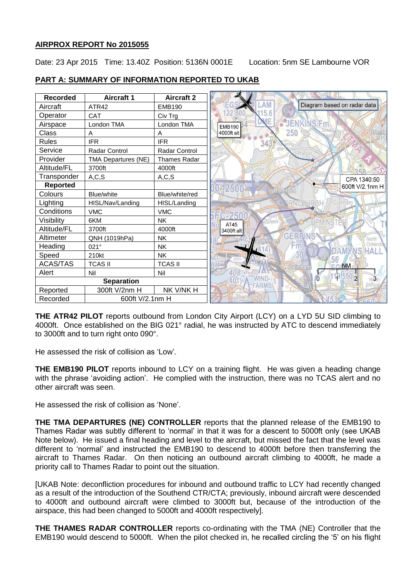# **AIRPROX REPORT No 2015055**

Date: 23 Apr 2015 Time: 13.40Z Position: 5136N 0001E Location: 5nm SE Lambourne VOR

| <b>Recorded</b>             | <b>Aircraft 1</b>          | <b>Aircraft 2</b>   |                                              |
|-----------------------------|----------------------------|---------------------|----------------------------------------------|
| Aircraft                    | ATR42                      | <b>EMB190</b>       | Diagram based on radar data                  |
| Operator                    | CAT                        | Civ Trg             |                                              |
| Airspace                    | London TMA                 | London TMA          | <b>JENKINS</b> Fm<br><b>EMB190</b>           |
| Class                       | A                          | A                   | 250<br>4000ft alt                            |
| <b>Rules</b>                | <b>IFR</b>                 | <b>IFR</b>          | Row<br>343                                   |
| Service                     | Radar Control              | Radar Control       | ge Hill,                                     |
| Provider                    | <b>TMA Departures (NE)</b> | <b>Thames Radar</b> |                                              |
| Altitude/FL                 | 3700ft                     | 4000ft              |                                              |
| Transponder                 | A, C, S                    | A, C, S             | CPA 1340:50                                  |
| <b>Reported</b>             |                            |                     | 2500<br>600ft V/2.1nm H                      |
| Colours                     | <b>Blue/white</b>          | Blue/white/red      | <b>Romford</b>                               |
| Lighting                    | HISL/Nav/Landing           | HISL/Landing        |                                              |
| Conditions                  | <b>VMC</b>                 | <b>VMC</b>          |                                              |
| Visibility                  | 6KM                        | <b>NK</b>           | AT45                                         |
| Altitude/FL                 | 3700ft                     | 4000ft              | 3400ft alt                                   |
| Altimeter                   | QNH (1019hPa)              | <b>NK</b>           | CERP<br>North                                |
| Heading                     | $021^\circ$                | <b>NK</b>           | Ockendor                                     |
| Speed                       | 210kt                      | <b>NK</b>           |                                              |
| <b>ACAS/TAS</b>             | TCAS II                    | <b>TCAS II</b>      | <b>NM</b><br>ain'nam                         |
| Alert                       | Nil                        | Nil                 |                                              |
| <b>Separation</b>           |                            |                     | $\overline{0}$<br>$\sqrt{3}$<br><b>FARMS</b> |
| Reported                    | 300ft V/2nm H              | NK V/NK H           |                                              |
| 600ft V/2.1nm H<br>Recorded |                            |                     |                                              |

# **PART A: SUMMARY OF INFORMATION REPORTED TO UKAB**

**THE ATR42 PILOT** reports outbound from London City Airport (LCY) on a LYD 5U SID climbing to 4000ft. Once established on the BIG 021° radial, he was instructed by ATC to descend immediately to 3000ft and to turn right onto 090°.

He assessed the risk of collision as 'Low'.

**THE EMB190 PILOT** reports inbound to LCY on a training flight. He was given a heading change with the phrase 'avoiding action'. He complied with the instruction, there was no TCAS alert and no other aircraft was seen.

He assessed the risk of collision as 'None'.

**THE TMA DEPARTURES (NE) CONTROLLER** reports that the planned release of the EMB190 to Thames Radar was subtly different to 'normal' in that it was for a descent to 5000ft only (see UKAB Note below). He issued a final heading and level to the aircraft, but missed the fact that the level was different to 'normal' and instructed the EMB190 to descend to 4000ft before then transferring the aircraft to Thames Radar. On then noticing an outbound aircraft climbing to 4000ft, he made a priority call to Thames Radar to point out the situation.

[UKAB Note: deconfliction procedures for inbound and outbound traffic to LCY had recently changed as a result of the introduction of the Southend CTR/CTA; previously, inbound aircraft were descended to 4000ft and outbound aircraft were climbed to 3000ft but, because of the introduction of the airspace, this had been changed to 5000ft and 4000ft respectively].

**THE THAMES RADAR CONTROLLER** reports co-ordinating with the TMA (NE) Controller that the EMB190 would descend to 5000ft. When the pilot checked in, he recalled circling the '5' on his flight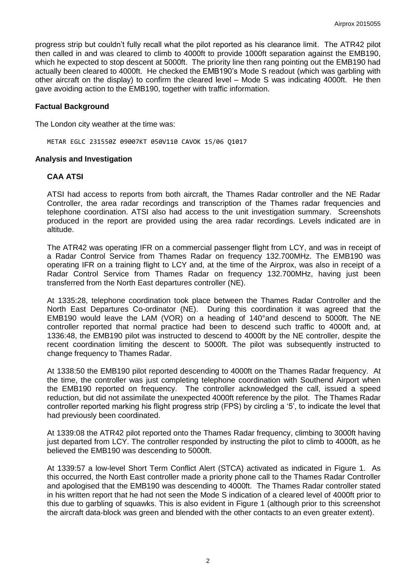progress strip but couldn't fully recall what the pilot reported as his clearance limit. The ATR42 pilot then called in and was cleared to climb to 4000ft to provide 1000ft separation against the EMB190, which he expected to stop descent at 5000ft. The priority line then rang pointing out the EMB190 had actually been cleared to 4000ft. He checked the EMB190's Mode S readout (which was garbling with other aircraft on the display) to confirm the cleared level – Mode S was indicating 4000ft. He then gave avoiding action to the EMB190, together with traffic information.

#### **Factual Background**

The London city weather at the time was:

METAR EGLC 231550Z 09007KT 050V110 CAVOK 15/06 Q1017

#### **Analysis and Investigation**

#### **CAA ATSI**

ATSI had access to reports from both aircraft, the Thames Radar controller and the NE Radar Controller, the area radar recordings and transcription of the Thames radar frequencies and telephone coordination. ATSI also had access to the unit investigation summary. Screenshots produced in the report are provided using the area radar recordings. Levels indicated are in altitude.

The ATR42 was operating IFR on a commercial passenger flight from LCY, and was in receipt of a Radar Control Service from Thames Radar on frequency 132.700MHz. The EMB190 was operating IFR on a training flight to LCY and, at the time of the Airprox, was also in receipt of a Radar Control Service from Thames Radar on frequency 132.700MHz, having just been transferred from the North East departures controller (NE).

At 1335:28, telephone coordination took place between the Thames Radar Controller and the North East Departures Co-ordinator (NE). During this coordination it was agreed that the EMB190 would leave the LAM (VOR) on a heading of 140°and descend to 5000ft. The NE controller reported that normal practice had been to descend such traffic to 4000ft and, at 1336:48, the EMB190 pilot was instructed to descend to 4000ft by the NE controller, despite the recent coordination limiting the descent to 5000ft. The pilot was subsequently instructed to change frequency to Thames Radar.

At 1338:50 the EMB190 pilot reported descending to 4000ft on the Thames Radar frequency. At the time, the controller was just completing telephone coordination with Southend Airport when the EMB190 reported on frequency. The controller acknowledged the call, issued a speed reduction, but did not assimilate the unexpected 4000ft reference by the pilot. The Thames Radar controller reported marking his flight progress strip (FPS) by circling a '5', to indicate the level that had previously been coordinated.

At 1339:08 the ATR42 pilot reported onto the Thames Radar frequency, climbing to 3000ft having just departed from LCY. The controller responded by instructing the pilot to climb to 4000ft, as he believed the EMB190 was descending to 5000ft.

At 1339:57 a low-level Short Term Conflict Alert (STCA) activated as indicated in Figure 1. As this occurred, the North East controller made a priority phone call to the Thames Radar Controller and apologised that the EMB190 was descending to 4000ft. The Thames Radar controller stated in his written report that he had not seen the Mode S indication of a cleared level of 4000ft prior to this due to garbling of squawks. This is also evident in Figure 1 (although prior to this screenshot the aircraft data-block was green and blended with the other contacts to an even greater extent).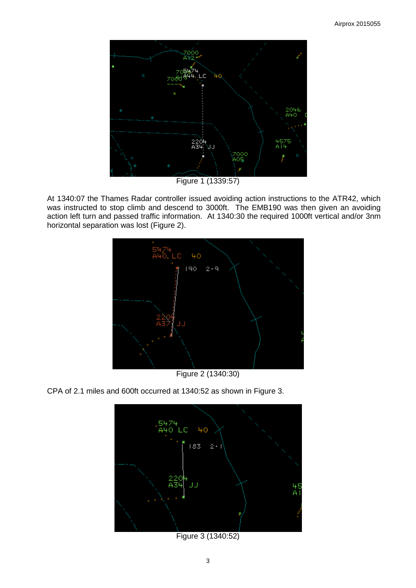

Figure 1 (1339:57)

At 1340:07 the Thames Radar controller issued avoiding action instructions to the ATR42, which was instructed to stop climb and descend to 3000ft. The EMB190 was then given an avoiding action left turn and passed traffic information. At 1340:30 the required 1000ft vertical and/or 3nm horizontal separation was lost (Figure 2).



Figure 2 (1340:30)

CPA of 2.1 miles and 600ft occurred at 1340:52 as shown in Figure 3.



Figure 3 (1340:52)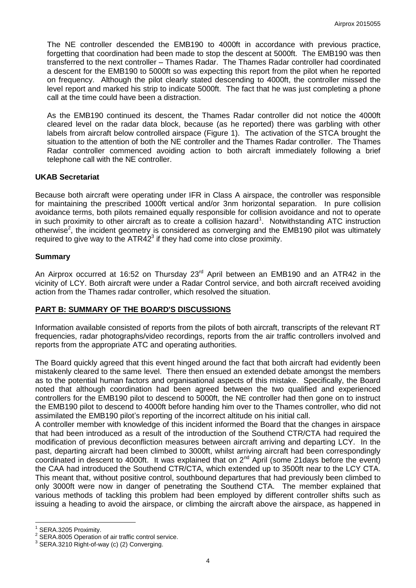The NE controller descended the EMB190 to 4000ft in accordance with previous practice, forgetting that coordination had been made to stop the descent at 5000ft. The EMB190 was then transferred to the next controller – Thames Radar. The Thames Radar controller had coordinated a descent for the EMB190 to 5000ft so was expecting this report from the pilot when he reported on frequency. Although the pilot clearly stated descending to 4000ft, the controller missed the level report and marked his strip to indicate 5000ft. The fact that he was just completing a phone call at the time could have been a distraction.

As the EMB190 continued its descent, the Thames Radar controller did not notice the 4000ft cleared level on the radar data block, because (as he reported) there was garbling with other labels from aircraft below controlled airspace (Figure 1). The activation of the STCA brought the situation to the attention of both the NE controller and the Thames Radar controller. The Thames Radar controller commenced avoiding action to both aircraft immediately following a brief telephone call with the NE controller.

# **UKAB Secretariat**

Because both aircraft were operating under IFR in Class A airspace, the controller was responsible for maintaining the prescribed 1000ft vertical and/or 3nm horizontal separation. In pure collision avoidance terms, both pilots remained equally responsible for collision avoidance and not to operate in such proximity to other aircraft as to create a collision hazard<sup>1</sup>. Notwithstanding ATC instruction otherwise<sup>2</sup>, the incident geometry is considered as converging and the EMB190 pilot was ultimately required to give way to the  $ATR42<sup>3</sup>$  if they had come into close proximity.

#### **Summary**

An Airprox occurred at 16:52 on Thursday 23<sup>rd</sup> April between an EMB190 and an ATR42 in the vicinity of LCY. Both aircraft were under a Radar Control service, and both aircraft received avoiding action from the Thames radar controller, which resolved the situation.

# **PART B: SUMMARY OF THE BOARD'S DISCUSSIONS**

Information available consisted of reports from the pilots of both aircraft, transcripts of the relevant RT frequencies, radar photographs/video recordings, reports from the air traffic controllers involved and reports from the appropriate ATC and operating authorities.

The Board quickly agreed that this event hinged around the fact that both aircraft had evidently been mistakenly cleared to the same level. There then ensued an extended debate amongst the members as to the potential human factors and organisational aspects of this mistake. Specifically, the Board noted that although coordination had been agreed between the two qualified and experienced controllers for the EMB190 pilot to descend to 5000ft, the NE controller had then gone on to instruct the EMB190 pilot to descend to 4000ft before handing him over to the Thames controller, who did not assimilated the EMB190 pilot's reporting of the incorrect altitude on his initial call.

A controller member with knowledge of this incident informed the Board that the changes in airspace that had been introduced as a result of the introduction of the Southend CTR/CTA had required the modification of previous deconfliction measures between aircraft arriving and departing LCY. In the past, departing aircraft had been climbed to 3000ft, whilst arriving aircraft had been correspondingly coordinated in descent to 4000ft. It was explained that on 2<sup>nd</sup> April (some 21days before the event) the CAA had introduced the Southend CTR/CTA, which extended up to 3500ft near to the LCY CTA. This meant that, without positive control, southbound departures that had previously been climbed to only 3000ft were now in danger of penetrating the Southend CTA. The member explained that various methods of tackling this problem had been employed by different controller shifts such as issuing a heading to avoid the airspace, or climbing the aircraft above the airspace, as happened in

 $\overline{a}$ 

<sup>1</sup> SERA.3205 Proximity.

<sup>2</sup> SERA.8005 Operation of air traffic control service.

<sup>&</sup>lt;sup>3</sup> SERA.3210 Right-of-way (c) (2) Converging.